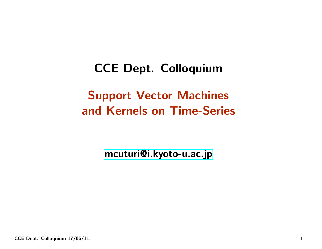CCE Dept. Colloquium

# Support Vector Machines and Kernels on Time-Series

[mcuturi@i.kyoto-u.ac.jp](mailto:mcuturi@i.kyoto-u.ac.jp)

CCE Dept. Colloquium 17/06/11.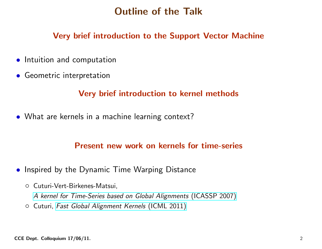### Outline of the Talk

#### Very brief introduction to the Support Vector Machine

- Intuition and computation
- Geometric interpretation

#### Very brief introduction to kernel methods

• What are kernels in <sup>a</sup> machine learning context?

#### Present new work on kernels for time-series

- Inspired by the Dynamic Time Warping Distance
	- Cuturi-Vert-Birkenes-Matsui,

<sup>A</sup> kernel for Time-Series based on Global [Alignments](http://ieeexplore.ieee.org/xpls/abs_all.jsp?arnumber=4217433&tag=1) (ICASSP 2007)

◦ Cuturi, Fast Global [Alignment](http://www.icml-2011.org/papers/489_icmlpaper.pdf) Kernels (ICML 2011)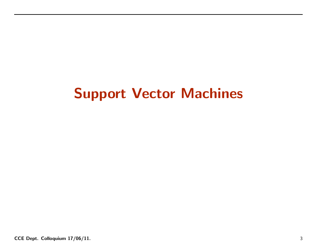# Support Vector Machines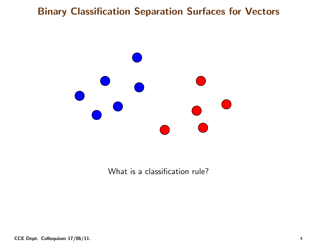

What is <sup>a</sup> classification rule?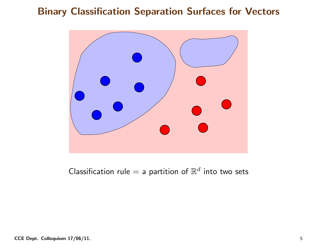

Classification rule  $=$  a partition of  $\mathbb{R}^d$  into two sets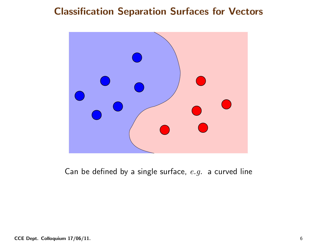

Can be defined by a single surface,  $e.g.$  a curved line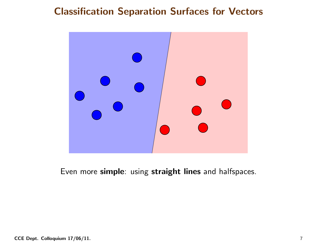

Even more simple: using straight lines and halfspaces.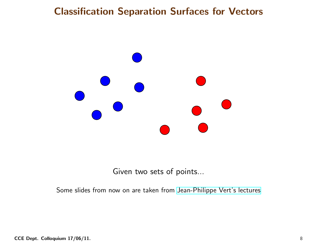

Given two sets of points...

Some slides from now on are taken from [Jean-Philippe](http://cbio.ensmp.fr/~jvert/teaching/) Vert's lectures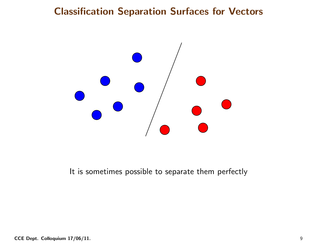

It is sometimes possible to separate them perfectly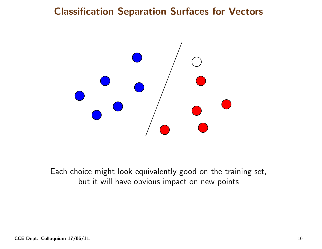

Each choice might look equivalently good on the training set, but it will have obvious impact on new points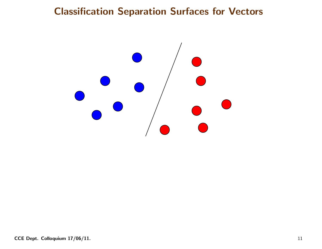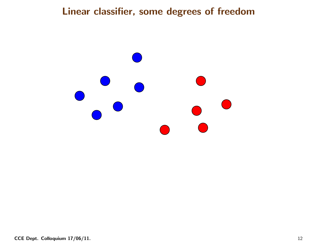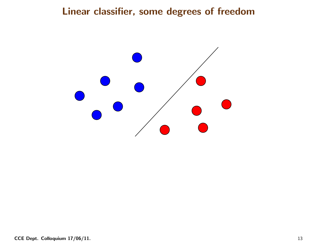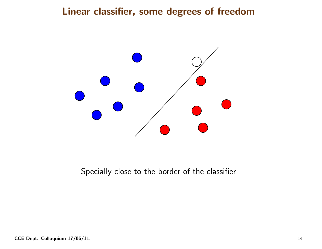

Specially close to the border of the classifier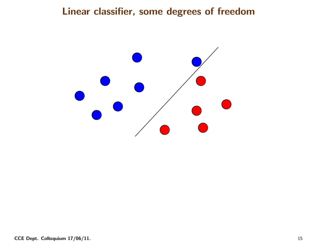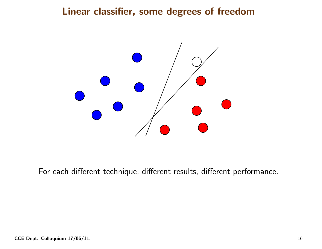

For each different technique, different results, different performance.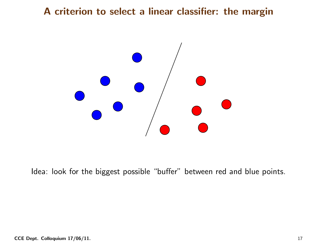

Idea: look for the biggest possible "buffer" between red and blue points.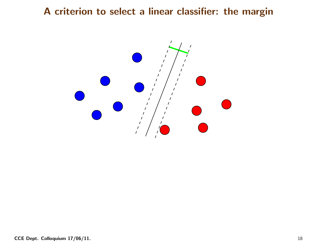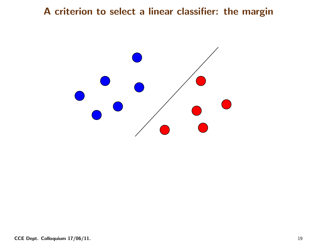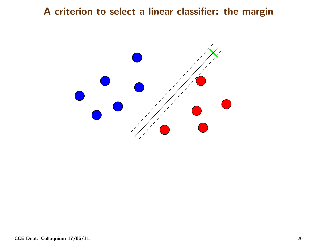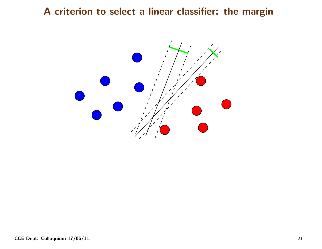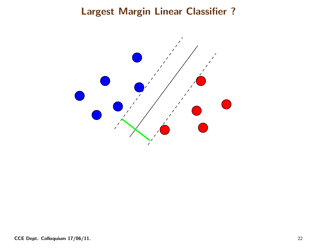## Largest Margin Linear Classifier ?

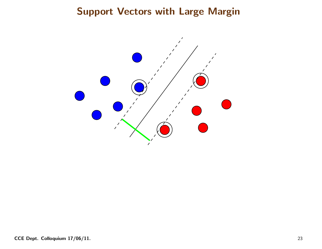### Support Vectors with Large Margin

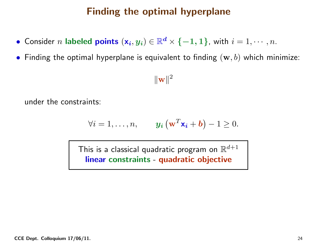## Finding the optimal hyperplane

- $\bullet$  Consider  $n$  labeled points  $(\mathsf{x}_{\bm{i}},y_{\bm{i}})\in\mathbb{R}^{\bm{d}}$  $\mathbf{z}^d \times \{-1, 1\}$ , with  $i = 1, \cdots, n$ .
- • $\bullet\,$  Finding the optimal hyperplane is equivalent to finding  $(\mathbf{w},b)$  which minimize:

 $\|\mathbf{w}\|^2$ 

under the constraints:

$$
\forall i = 1, \ldots, n, \qquad \mathbf{y_i} \left( \mathbf{w}^T \mathbf{x_i} + \mathbf{b} \right) - 1 \geq 0.
$$

This is a classical quadratic program on  $\mathbb{R}^{d+1}$ linear constraints - quadratic object -- quadratic objective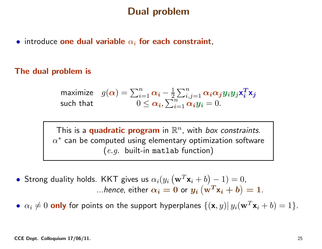### Dual problem

 $\bullet$  introduce one dual variable  $\alpha_i$  for each constraint,

#### The dual problem is

maximize 
$$
g(\alpha) = \sum_{i=1}^{n} \alpha_i - \frac{1}{2} \sum_{i,j=1}^{n} \alpha_i \alpha_j y_i y_j \mathbf{x}_i^T \mathbf{x}_j
$$
  
such that  $0 \leq \alpha_i, \sum_{i=1}^{n} \alpha_i y_i = 0$ .

This is a **quadratic program** in  $\mathbb{R}^n$ , with *box constraints*. This is a **quadratic program** in  $\mathbb{R}^n$ , with *box constraints*.<br> $\alpha^*$  can be computed using elementary optimization softwar  $^\ast$  can be computed using elementary optimization software  $\it (e.g.$  built-in matlab function)

•Strong duality holds. KKT gives us  $\alpha_i(y_i \left(\mathbf{w}^T \mathbf{x}_i + b\right) - 1) = 0$ , ...hence, either  $\alpha_i = 0$  or  $y_i$   $(\mathbf{w}^T \mathbf{x}_i + b) = 1$ .

••  $\alpha_i \neq 0$  only for points on the support hyperplanes  $\{(\mathbf{x}, y)| y_i(\mathbf{w}^T \mathbf{x}_i + b) = 1\}.$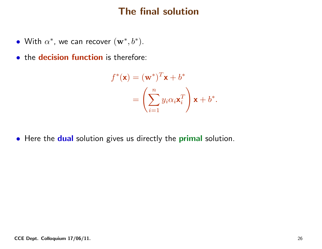## The final solution

- With  $\alpha^*$ , we can recover  $(\mathbf{w}^*,b^*)$ .
- **•** the **decision function** is therefore:

$$
f^*(\mathbf{x}) = (\mathbf{w}^*)^T \mathbf{x} + b^*
$$
  
=  $\left(\sum_{i=1}^n y_i \alpha_i \mathbf{x}_i^T\right) \mathbf{x} + b^*.$ 

 $\bullet\,$  Here the  $\,$  dual solution gives us directly the  $\,$  primal solution.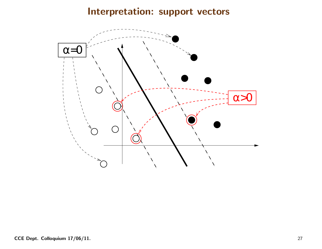# Interpretation: support vectors

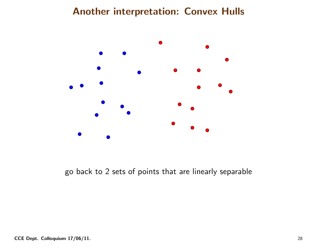

go back to <sup>2</sup> sets of points that are linearly separable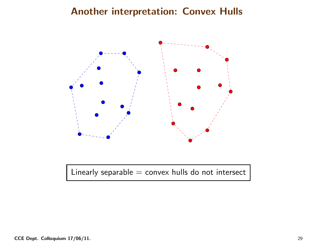

Linearly separable  $=$  convex hulls do not intersect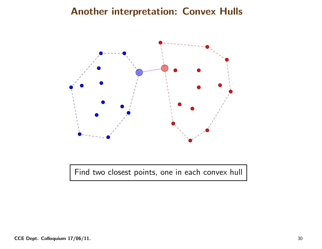

Find two closest points, one in each convex hull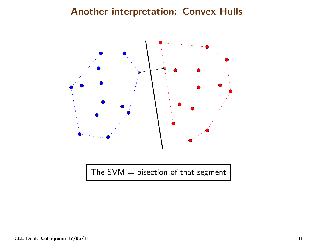

The  $SVM = bisection$  of that segment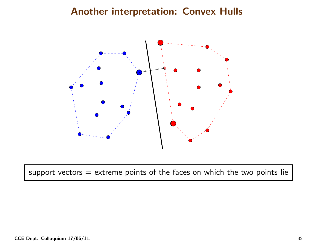

support vectors  $=$  extreme points of the faces on which the two points lie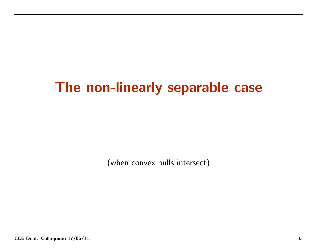# The non-linearly separable case

(when convex hulls intersect)

CCE Dept. Colloquium 17/06/11. 33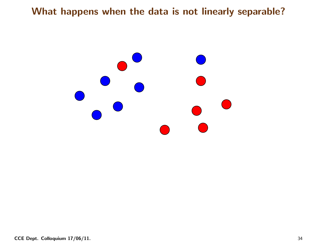What happens when the data is not linearly separable?

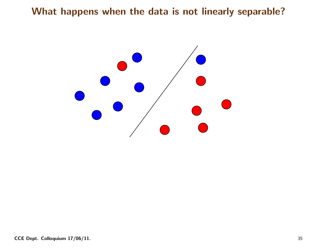#### What happens when the data is not linearly separable?

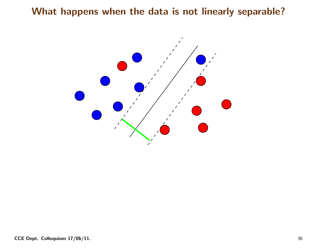#### What happens when the data is not linearly separable?

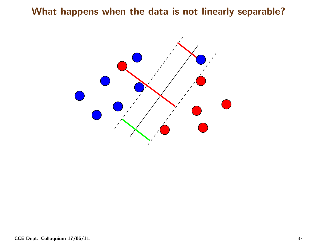#### What happens when the data is not linearly separable?

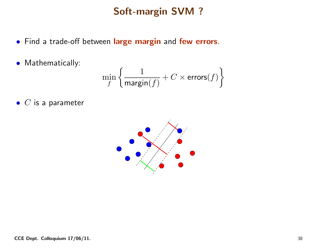# Soft-margin SVM ?

- Find <sup>a</sup> trade-off between large margin and few errors.
- Mathematically:

$$
\min_{f} \left\{ \frac{1}{\mathrm{margin}(f)} + C \times \mathrm{errors}(f) \right\}
$$

 $\bullet\,$   $C$  is a parameter

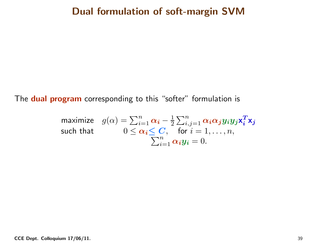#### Dual formulation of soft-margin SVM

The **dual program** corresponding to this "softer" formulation is

$$
\begin{array}{ll}\text{maximize} & g(\alpha) = \sum_{i=1}^{n} \alpha_i - \frac{1}{2} \sum_{i,j=1}^{n} \alpha_i \alpha_j y_i y_j \mathbf{x}_i^T \mathbf{x}_j\\ \text{such that} & 0 \leq \alpha_i \leq C, \quad \text{for } i = 1, \dots, n,\\ & \sum_{i=1}^{n} \alpha_i y_i = 0.\end{array}
$$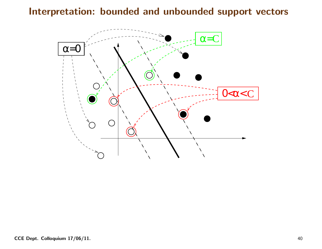Interpretation: bounded and unbounded support vectors

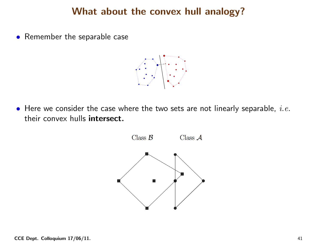#### What about the convex hull analogy?

• Remember the separable case



 $\bullet\,$  Here we consider the case where the two sets are not linearly separable,  $\it i.e.$ their convex hulls intersect.

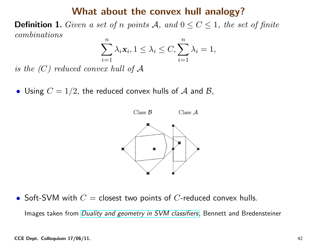#### What about the convex hull analogy?

**Definition 1.** Given a set of n points  $A$ , and  $0 \le C \le 1$ , the set of finite combinations

$$
\sum_{i=1}^{n} \lambda_i \mathbf{x}_i, 1 \leq \lambda_i \leq C, \sum_{i=1}^{n} \lambda_i = 1,
$$

 $is\,\,the\,\,(C)\,\,reduced\,\,convex\,\,hull\,\,of\,\mathcal{A}$ 

 $\bullet$  Using  $C = 1/2$ , the reduced convex hulls of  ${\cal A}$  and  ${\cal B},$ 



• Soft-SVM with  $C =$  closest two points of  $C$ -reduced convex hulls.

Images taken from *Duality and [geometry](http://citeseerx.ist.psu.edu/viewdoc/download?doi=10.1.1.36.9635&rep=rep1&type=pdf) in SVM classifiers*, Bennett and Bredensteiner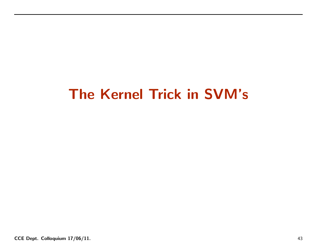# The Kernel Trick in SVM's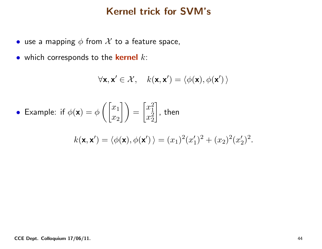#### Kernel trick for SVM's

- $\bullet\,$  use a mapping  $\phi$  from  $\mathcal X$  to a feature space,
- $\bullet\,$  which corresponds to the  $\,$  kernel  $\,k\,$ :

$$
\forall \mathbf{x}, \mathbf{x}' \in \mathcal{X}, \quad k(\mathbf{x}, \mathbf{x}') = \langle \phi(\mathbf{x}), \phi(\mathbf{x}') \rangle
$$

• Example: if 
$$
\phi(\mathbf{x}) = \phi\left(\begin{bmatrix} x_1 \\ x_2 \end{bmatrix}\right) = \begin{bmatrix} x_1^2 \\ x_2^2 \end{bmatrix}
$$
, then

$$
k(\mathbf{x}, \mathbf{x}') = \langle \phi(\mathbf{x}), \phi(\mathbf{x}') \rangle = (x_1)^2 (x_1')^2 + (x_2)^2 (x_2')^2.
$$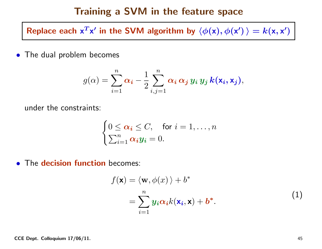#### Training <sup>a</sup> SVM in the feature space

Replace each  $\bm{\mathsf{x}}^T$  $T$ x $\prime$  in the SVM algorithm by  $\langle \phi(\mathsf{x}),\phi(\mathsf{x}') \rangle=k(\mathsf{x},\mathsf{x}')$ 

• The dual problem becomes

$$
g(\alpha) = \sum_{i=1}^n \alpha_i - \frac{1}{2} \sum_{i,j=1}^n \alpha_i \alpha_j y_i y_j k(\mathbf{x}_i, \mathbf{x}_j),
$$

under the constraints:

$$
\begin{cases} 0 \leq \alpha_i \leq C, & \text{for } i = 1, \dots, n \\ \sum_{i=1}^n \alpha_i y_i = 0. \end{cases}
$$

**• The decision function** becomes:

$$
f(\mathbf{x}) = \langle \mathbf{w}, \phi(x) \rangle + b^*
$$
  
= 
$$
\sum_{i=1}^{n} y_i \alpha_i k(\mathbf{x}_i, \mathbf{x}) + b^*.
$$
 (1)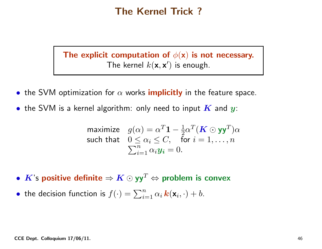#### The Kernel Trick ?

The explicit computation of  $\phi(\mathbf{x})$  is not necessary. The kernel  $k(\mathbf{x}, \mathbf{x}')$  is enough.

- $\bullet\,$  the SVM optimization for  $\alpha$  works  $\bm{i}$ mplicitly in the feature space.
- $\bullet\,$  the SVM is a kernel algorithm: only need to input  $\boldsymbol{K}$  and  $\boldsymbol{y}$ :

maximize 
$$
g(\alpha) = \alpha^T \mathbf{1} - \frac{1}{2} \alpha^T (\mathbf{K} \odot \mathbf{y} \mathbf{y}^T) \alpha
$$
  
such that  $0 \le \alpha_i \le C$ , for  $i = 1, ..., n$   

$$
\sum_{i=1}^n \alpha_i y_i = 0.
$$

- $\boldsymbol{K}$ 's positive definite  $\Rightarrow \boldsymbol{K} \odot \mathsf{y}\mathsf{y}^T \Leftrightarrow$  problem is convex
- the decision function is  $f(\cdot) = \sum_{i=1}^n \alpha_i \, \bm{k}(\mathbf{x}_i, \cdot) + b.$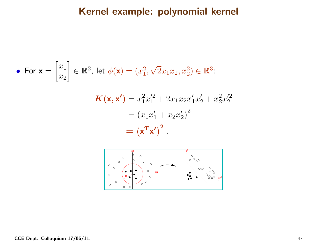#### Kernel example: polynomial kernel

• For 
$$
\mathbf{x} = \begin{bmatrix} x_1 \\ x_2 \end{bmatrix} \in \mathbb{R}^2
$$
, let  $\phi(\mathbf{x}) = (x_1^2, \sqrt{2}x_1x_2, x_2^2) \in \mathbb{R}^3$ .

$$
\mathbf{K}(\mathbf{x}, \mathbf{x'}) = x_1^2 x_1'^2 + 2x_1 x_2 x_1' x_2' + x_2^2 x_2'^2
$$

$$
= (x_1 x_1' + x_2 x_2')^2
$$

$$
= (\mathbf{x}^T \mathbf{x'})^2.
$$

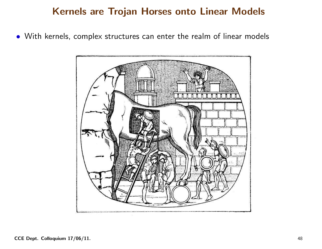#### Kernels are Trojan Horses onto Linear Models

• With kernels, complex structures can enter the realm of linear models

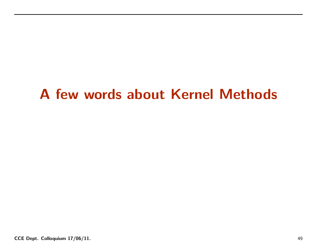# <sup>A</sup> few words about Kernel Methods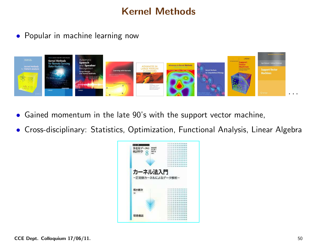# Kernel Methods

• Popular in machine learning now



- $\bullet$ Gained momentum in the late 90's with the support vector machine,
- Cross-disciplinary: Statistics, Optimization, Functional Analysis, Linear Algebra

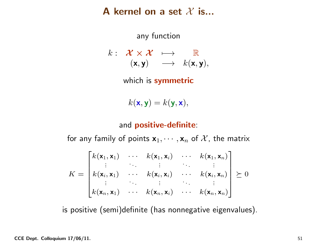# A kernel on a set  $\mathcal X$  is...

any function

$$
k: \begin{array}{rcl} \mathcal{X} \times \mathcal{X} & \longmapsto & \mathbb{R} \\ (\mathbf{x}, \mathbf{y}) & \longrightarrow & k(\mathbf{x}, \mathbf{y}), \end{array}
$$

which is symmetric

 $k(\mathbf{x}, \mathbf{y}) = k(\mathbf{y}, \mathbf{x}),$ 

# and **positive-definite**:

for any family of points  $x_1, \dots, x_n$  of X, the matrix

$$
K = \begin{bmatrix} k(\mathbf{x}_1, \mathbf{x}_1) & \cdots & k(\mathbf{x}_1, \mathbf{x}_i) & \cdots & k(\mathbf{x}_1, \mathbf{x}_n) \\ \vdots & \vdots & \ddots & \vdots \\ k(\mathbf{x}_i, \mathbf{x}_1) & \cdots & k(\mathbf{x}_i, \mathbf{x}_i) & \cdots & k(\mathbf{x}_i, \mathbf{x}_n) \\ \vdots & \vdots & \ddots & \vdots \\ k(\mathbf{x}_n, \mathbf{x}_1) & \cdots & k(\mathbf{x}_n, \mathbf{x}_i) & \cdots & k(\mathbf{x}_n, \mathbf{x}_n) \end{bmatrix} \succeq 0
$$

is positive (semi)definite (has nonnegative eigenvalues).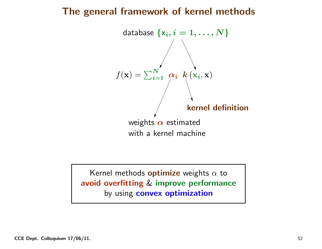#### The genera<sup>l</sup> framework of kernel methods



Kernel methods  $\mathop{\rm{optimize}}\limits_{\mathbb{R}}$  weights  $\alpha$  to avoid overfitting& improve performance by using convex optimization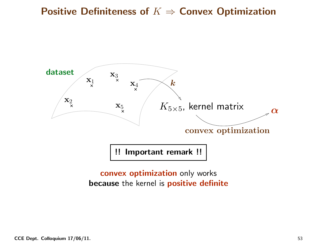# Positive Definiteness of  $K \Rightarrow$  Convex Optimization



**convex optimization** only works because the kernel is positive definite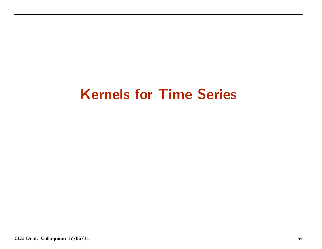# Kernels for Time Series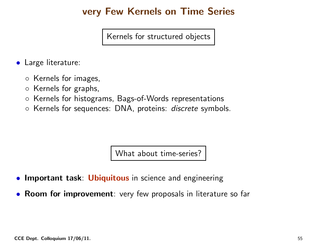# very Few Kernels on Time Series

Kernels for structured objects

- Large literature:
	- Kernels for images,
	- Kernels for graphs,
	- $\circ$ Kernels for histograms, Bags-of-Words representations
	- Kernels for sequences: DNA, proteins: *discrete* symbols.

What about time-series?

- •Important task: Ubiquitous in science and engineering
- Room for improvement: very few proposals in literature so far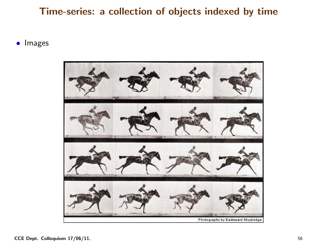#### Time-series: <sup>a</sup> collection of objects indexed by time

 $\bullet$ Images

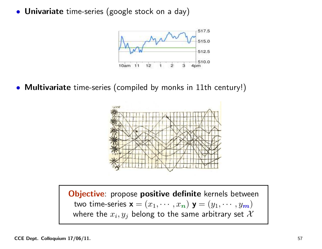• Univariate time-series (google stock on <sup>a</sup> day)



• Multivariate time-series (compiled by monks in 11th century!)



**Objective**: propose positive definite kernels between two time-series  $\mathbf{x} = (x_1, \dots, x_n) \mathbf{y} = (y_1, \dots, y_m)$ where the  $x_i, y_j$  belong to the same arbitrary set  $\mathcal X$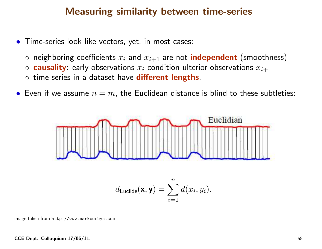#### Measuring similarity between time-series

- Time-series look like vectors, yet, in most cases:
	- $\circ$  neighboring coefficients  $x_i$  and  $x_{i+1}$  are not independent (smoothness)
	- $\circ$  causality: early observations  $x_i$  condition ulterior observations  $x_{i+\ldots}$
	- time-series in a dataset have **different lengths**.
- $\bullet\,$  Even if we assume  $n=m$ , the Euclidean distance is blind to these subtleties:



 $i=1$ 

image taken fromhttp://www.markcorbyn.com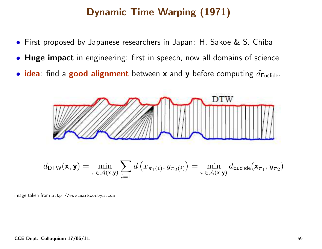# Dynamic Time Warping (1971)

- $\bullet$ First proposed by Japanese researchers in Japan: H. Sakoe & S. Chiba
- **Huge impact** in engineering: first in speech, now all domains of science
- $\bullet$  idea: find a good alignment between **x** and **y** before computing  $d_{\mathsf{Euclide}}$ .



image taken from http://www.markcorbyn.com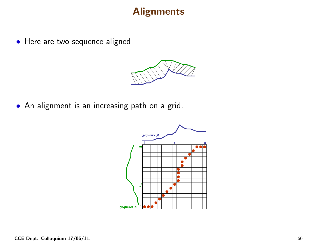#### **Alignments**

• Here are two sequence aligned



• An alignment is an increasing path on <sup>a</sup> grid.

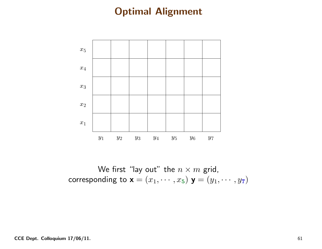

We first "lay out" the  $n\times m$  grid,<br>nding to  $\mathsf{y}=(x_1,\dots,x_N)$  ,  $\mathsf{y}=(y_1,\dots,y_N)$ corresponding to  $\mathbf{x} = (x_1, \dots, x_5) \mathbf{y} = (y_1, \dots, y_7)$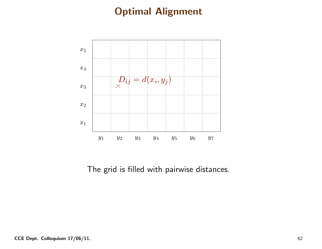

The grid is filled with pairwise distances.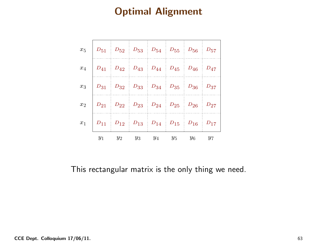|  |  | $x_5$ $D_{51}$ $D_{52}$ $D_{53}$ $D_{54}$ $D_{55}$ $D_{56}$ $D_{57}$                                                      |  |
|--|--|---------------------------------------------------------------------------------------------------------------------------|--|
|  |  | $x_4 \begin{array}{ c c c c c } \hline D_{41} & D_{42} & D_{43} & D_{44} & D_{45} & D_{46} & D_{47} \ \hline \end{array}$ |  |
|  |  | $x_3 \begin{array}{ c c c c c } \hline D_{31} & D_{32} & D_{33} & D_{34} & D_{35} & D_{36} & D_{37} \ \hline \end{array}$ |  |
|  |  | $x_2$ $D_{21}$ $D_{22}$ $D_{23}$ $D_{24}$ $D_{25}$ $D_{26}$ $D_{27}$                                                      |  |
|  |  | $x_1$ $D_{11}$ $D_{12}$ $D_{13}$ $D_{14}$ $D_{15}$ $D_{16}$ $D_{17}$                                                      |  |
|  |  | $y_1$ $y_2$ $y_3$ $y_4$ $y_5$ $y_6$ $y_7$                                                                                 |  |

This rectangular matrix is the only thing we need.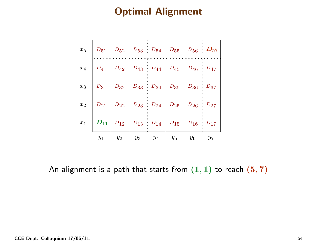| $x_5 \begin{array}{ c c c c c } \hline D_{51} & D_{52} & D_{53} & D_{54} & D_{55} & D_{56} & \hline \end{array}$          |                                           |  |  |
|---------------------------------------------------------------------------------------------------------------------------|-------------------------------------------|--|--|
| $x_4$ $D_{41}$ $D_{42}$ $D_{43}$ $D_{44}$ $D_{45}$ $D_{46}$ $D_{47}$                                                      |                                           |  |  |
| $x_3 \begin{array}{ c c c c c } \hline D_{31} & D_{32} & D_{33} & D_{34} & D_{35} & D_{36} & D_{37} \ \hline \end{array}$ |                                           |  |  |
| $x_2 \begin{array}{ c c c c c } \hline D_{21} & D_{22} & D_{23} & D_{24} & D_{25} & D_{26} & D_{27} \ \hline \end{array}$ |                                           |  |  |
| $x_1 \begin{array}{ c c c c c } \hline D_{11} & D_{12} & D_{13} & D_{14} & D_{15} & D_{16} & D_{17} \ \hline \end{array}$ |                                           |  |  |
|                                                                                                                           | $y_1$ $y_2$ $y_3$ $y_4$ $y_5$ $y_6$ $y_7$ |  |  |

An alignment is a path that starts from  $({\bf 1},{\bf 1})$  to reach  $({\bf 5},{\bf 7})$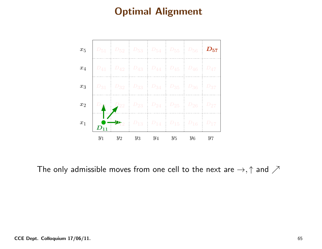

The only admissible moves from one cell to the next are  $\rightarrow, \uparrow$  and  $\nearrow$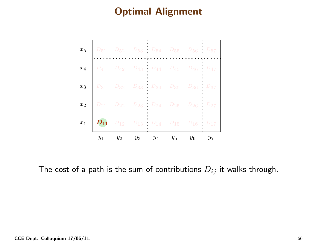| $x_5$ |       |  | $D_{51}$ $D_{52}$ $D_{53}$ $D_{54}$ $D_{55}$ $D_{56}$ $D_{57}$ |       |       |
|-------|-------|--|----------------------------------------------------------------|-------|-------|
| $x_4$ |       |  | $D_{41}$ $D_{42}$ $D_{43}$ $D_{44}$ $D_{45}$ $D_{46}$ $D_{47}$ |       |       |
| $x_3$ |       |  | $D_{31}$ $D_{32}$ $D_{33}$ $D_{34}$ $D_{35}$ $D_{36}$ $D_{37}$ |       |       |
| $x_2$ |       |  | $D_{21}$ $D_{22}$ $D_{23}$ $D_{24}$ $D_{25}$ $D_{26}$ $D_{27}$ |       |       |
| $x_1$ |       |  | $D_{11}$ $D_{12}$ $D_{13}$ $D_{14}$ $D_{15}$ $D_{16}$ $D_{17}$ |       |       |
|       | $y_1$ |  | $y_2$ $y_3$ $y_4$ $y_5$                                        | $y_6$ | $y_7$ |

The cost of a path is the sum of contributions  $D_{ij}$  it walks through.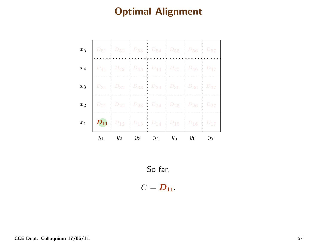| $x_5$            | $D_{51}$ $D_{52}$ $D_{53}$ $D_{54}$ $D_{55}$ $D_{56}$ $D_{57}$                  |                         |  |       |       |
|------------------|---------------------------------------------------------------------------------|-------------------------|--|-------|-------|
| $x_4$            | $D_{41}$ $D_{42}$ $D_{43}$ $D_{44}$ $D_{45}$ $D_{46}$ $D_{47}$                  |                         |  |       |       |
| $x_3$            | $D_{31}$ $D_{32}$ $D_{33}$ $D_{34}$ $D_{35}$ $D_{36}$ $D_{37}$                  |                         |  |       |       |
| $x_2$            | $D_{21}$ $D_{22}$ $D_{23}$ $D_{24}$ $D_{25}$ $D_{26}$ $D_{27}$                  |                         |  |       |       |
| $\overline{x_1}$ | $\boxed{\mathbf{D_{11}}}$ $D_{12}$ $D_{13}$ $D_{14}$ $D_{15}$ $D_{16}$ $D_{17}$ |                         |  |       |       |
|                  | $y_1$                                                                           | $y_2$ $y_3$ $y_4$ $y_5$ |  | $y_6$ | $y_7$ |

So far,

 $C = D_{11}.$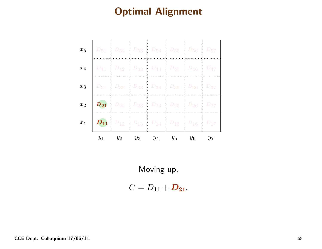| $x_5$ | $D_{51}$ $D_{52}$ $D_{53}$ $D_{54}$ $D_{55}$ $D_{56}$ $D_{57}$                     |                         |  |       |       |
|-------|------------------------------------------------------------------------------------|-------------------------|--|-------|-------|
| $x_4$ | $D_{41}$ $D_{42}$ $D_{43}$ $D_{44}$ $D_{45}$ $D_{46}$ $D_{47}$                     |                         |  |       |       |
|       | $x_3$   $D_{31}$   $D_{32}$   $D_{33}$   $D_{34}$   $D_{35}$   $D_{36}$   $D_{37}$ |                         |  |       |       |
|       | $x_2$ $D_{21}$ $D_{22}$ $D_{23}$ $D_{24}$ $D_{25}$ $D_{26}$ $D_{27}$               |                         |  |       |       |
|       | $x_1$ $D_{11}$ $D_{12}$ $D_{13}$ $D_{14}$ $D_{15}$ $D_{16}$ $D_{17}$               |                         |  |       |       |
|       | $y_1$                                                                              | $y_2$ $y_3$ $y_4$ $y_5$ |  | $y_6$ | $y_7$ |

Moving up,

 $C = D_{11} + D_{21}.$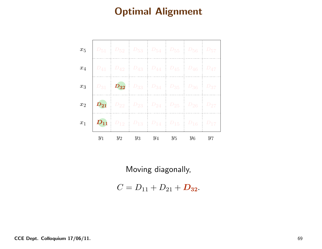| $x_5$ | $D_{51}$ $D_{52}$ $D_{53}$ $D_{54}$ $D_{55}$ $D_{56}$ $D_{57}$                     |                         |  |       |       |
|-------|------------------------------------------------------------------------------------|-------------------------|--|-------|-------|
| $x_4$ | $D_{41}$ $D_{42}$ $D_{43}$ $D_{44}$ $D_{45}$ $D_{46}$ $D_{47}$                     |                         |  |       |       |
|       | $x_3$   $D_{31}$   $D_{32}$   $D_{33}$   $D_{34}$   $D_{35}$   $D_{36}$   $D_{37}$ |                         |  |       |       |
|       | $x_2$ $D_{21}$ $D_{22}$ $D_{23}$ $D_{24}$ $D_{25}$ $D_{26}$ $D_{27}$               |                         |  |       |       |
|       | $x_1$ $D_{11}$ $D_{12}$ $D_{13}$ $D_{14}$ $D_{15}$ $D_{16}$ $D_{17}$               |                         |  |       |       |
|       | $y_1$                                                                              | $y_2$ $y_3$ $y_4$ $y_5$ |  | $y_6$ | $y_7$ |

Moving diagonally,

 $C = D_{11} + D_{21} + D_{32}.$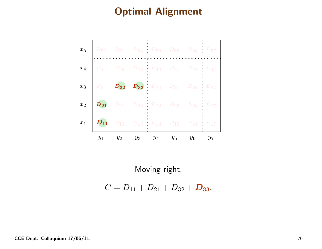|       |       | $x_5$   $D_{51}$   $D_{52}$   $D_{53}$   $D_{54}$   $D_{55}$   $D_{56}$   $D_{57}$ |  |       |
|-------|-------|------------------------------------------------------------------------------------|--|-------|
| $x_4$ |       | $D_{41}$ $D_{42}$ $D_{43}$ $D_{44}$ $D_{45}$ $D_{46}$ $D_{47}$                     |  |       |
|       |       | $x_3$   $D_{31}$   $D_{32}$   $D_{33}$   $D_{34}$   $D_{35}$   $D_{36}$   $D_{37}$ |  |       |
|       |       | $x_2$ $D_{21}$ $D_{22}$ $D_{23}$ $D_{24}$ $D_{25}$ $D_{26}$ $D_{27}$               |  |       |
|       |       | $x_1$ $D_{11}$ $D_{12}$ $D_{13}$ $D_{14}$ $D_{15}$ $D_{16}$ $D_{17}$               |  |       |
|       | $y_1$ | $y_2$ $y_3$ $y_4$ $y_5$ $y_6$                                                      |  | $y_7$ |

Moving right,

 $C = D_{11} + D_{21} + D_{32} + D_{33}.$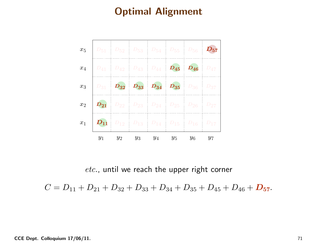

etc., until we reach the upper right corner

 $C = D_{11} + D_{21} + D_{32} + D_{33} + D_{34} + D_{35} + D_{45} + D_{46} + D_{57}.$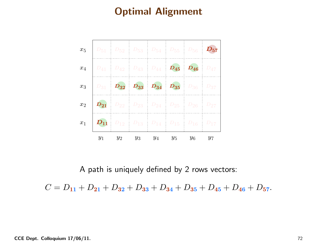

<sup>A</sup> path is uniquely defined by <sup>2</sup> rows vectors:

 $C = D_{11} + D_{21} + D_{32} + D_{33} + D_{34} + D_{35} + D_{45} + D_{46} + D_{57}.$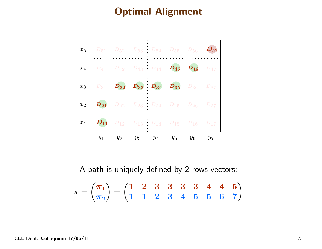

<sup>A</sup> path is uniquely defined by <sup>2</sup> rows vectors:

$$
\pi = \binom{\boldsymbol{\pi}_1}{\boldsymbol{\pi}_2} = \binom{\mathbf{1}}{\mathbf{1}} \begin{array}{ccccc} \mathbf{2} & \mathbf{3} & \mathbf{3} & \mathbf{3} & \mathbf{3} & \mathbf{4} & \mathbf{4} & \mathbf{5} \\ \mathbf{1} & \mathbf{1} & \mathbf{2} & \mathbf{3} & \mathbf{4} & \mathbf{5} & \mathbf{5} & \mathbf{6} & \mathbf{7} \end{array}
$$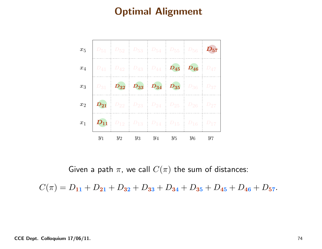

Given a path  $\pi$ , we call  $C(\pi)$  the sum of distances:

 $C(\pi) = D_{11} + D_{21} + D_{32} + D_{33} + D_{34} + D_{35} + D_{45} + D_{46} + D_{57}.$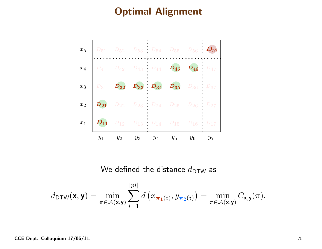

We defined the distance  $d_{\mathsf{DTW}}$  as

$$
d_{\text{DTW}}(\mathbf{x}, \mathbf{y}) = \min_{\pi \in \mathcal{A}(\mathbf{x}, \mathbf{y})} \sum_{i=1}^{|pi|} d\left(x_{\boldsymbol{\pi}_1(i)}, y_{\boldsymbol{\pi}_2(i)}\right) = \min_{\pi \in \mathcal{A}(\mathbf{x}, \mathbf{y})} C_{\mathbf{x}, \mathbf{y}}(\pi).
$$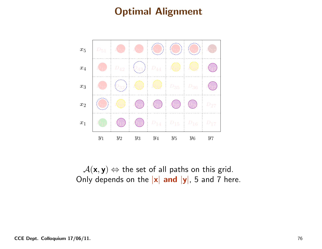

 $\mathcal{A}(\mathsf{x},\mathsf{y}) \Leftrightarrow$  the set of all paths on this grid.<br>alv denends on the lxl and lyl. 5 and 7 he Only depends on the  $|\mathsf{x}|$   $and  $|\mathsf{y}|$ , 5 and 7 here.$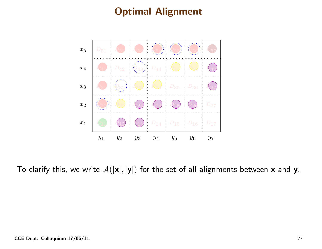

To clarify this, we write  $\mathcal{A}(|\mathsf{x}|,|\mathsf{y}|)$  for the set of all alignments between  $\mathsf{\textbf{x}}$  and  $\mathsf{\textbf{y}}.$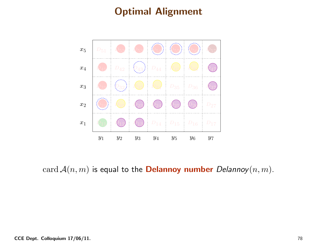

card  $\mathcal{A}(n,m)$  is equal to the **Delannoy number** Delannoy $(n,m)$ .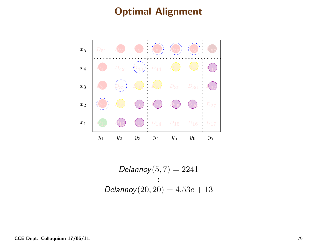

 $Delannoy(5, 7) = 2241$ Delannoy $(20, 20) = 4.53e + 13$ 

CCE Dept. Colloquium 17/06/11.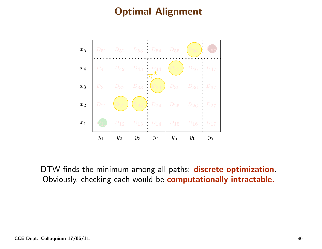

DTW finds the minimum among all paths: **discrete optimization**.<br>Obviously, checking each would be **computationally intractable.**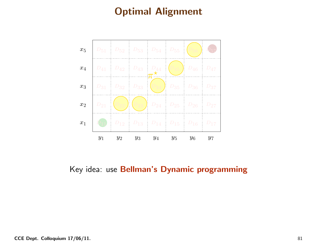

Key idea: use Bellman's Dynamic programming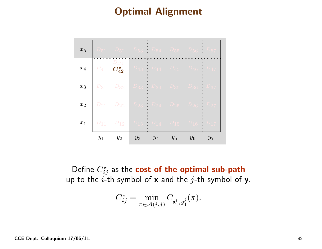| $x_5$ | $D_{\bf 51}$ | $D_{52}$                                  | $D_{53}$   | $D_{54}$ | $D_{\bf \bar{5} \bar{5}}$ | $D_{\bf \overline{56}}$ | $D_{57}$ |
|-------|--------------|-------------------------------------------|------------|----------|---------------------------|-------------------------|----------|
| $x_4$ | $D_{41}$     | $D_{42}$<br>$\boldsymbol{C^{\star}_{42}}$ | $D_{43}$   | $D_{44}$ | $D_{45}$                  | $D_{46}$                | $D_{47}$ |
| $x_3$ | $D_{31}$     | $D_{32}$                                  | $D_{33}$   | $D_{34}$ | $D_{35}$                  | $D_{36}$                | $D_{37}$ |
| $x_2$ | $D_{21}$     | $D_{22}$                                  | $D_{23}^-$ | $D_{24}$ | $D_{25}$                  | $D_{26}$                | $D_{27}$ |
| $x_1$ | $D_{11}$     | $D_{12}$                                  | $D_{13}$   | $D_{14}$ | $D_{15}$                  | $D_{16}$                | $D_{17}$ |
|       | $y_1$        | $y_2$                                     | $y_3$      | $y_4$    | $y_5$                     | $y_6$                   | $y_7$    |

Define  $C_{ij}^{\star}$  as the  $\mathbf{cost}$  of the optimal sub-path up to the  $i$ -th symbol of x and the j-th symbol of y.

$$
C_{ij}^* = \min_{\pi \in \mathcal{A}(i,j)} C_{\mathbf{x}_1^i, y_1^j}(\pi).
$$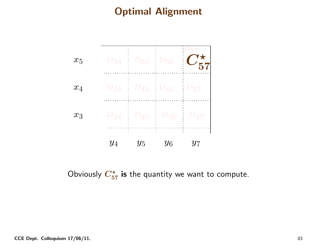

Obviously  $C_{57}^{\star}$  is the quantity we want to compute.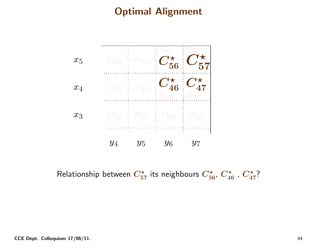

Relationship between  $C_{57}^{\star}$  its neighbours  $C_{56}^{\star}$ ,  $C_{46}^{\star}$ ,  $C_{47}^{\star}$ ?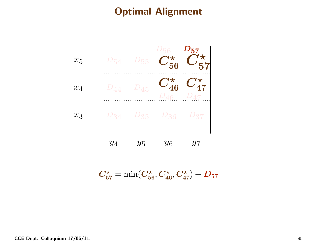| $x_5$ | $\nu_{54}$ | $\nu_{55}$     | $\perp$<br>56<br>56                 | $\n  -157\n$<br>57                 |
|-------|------------|----------------|-------------------------------------|------------------------------------|
| $x_4$ | $D_{44}$   | $\rm \nu_{45}$ | $C_{46}^{\star}$<br>$\overline{AB}$ | $C_{47}^{\star}$<br>$D_{47}$<br>÷, |
| $x_3$ | $\nu_{34}$ | $\nu_{35}$     | '36                                 | 37                                 |
|       | $y_4$      | $y_5$          | $\mathbf{r}$<br>$y_6$               | $y_7$                              |

 $C_{57}^{\star} = \min(C_{56}^{\star}, C_{46}^{\star}, C_{47}^{\star}) + D_{57}$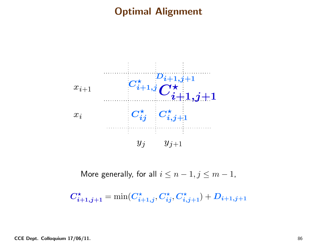

More generally, for all  $i\leq n-1, j\leq m-1$ ,

 $C_{\boldsymbol{i}+1,\boldsymbol{j}+1}^{\star} = \min(C_{\boldsymbol{i}+1,\boldsymbol{j}}^{\star}, C_{\boldsymbol{i}\boldsymbol{j}}^{\star}, C_{\boldsymbol{i},\boldsymbol{j}+1}^{\star}) + D_{\boldsymbol{i}+1,\boldsymbol{j}+1}$ 

CCE Dept. Colloquium 17/06/11. 86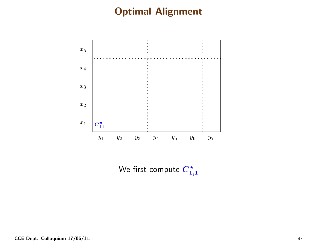

We first compute  $C_{1,1}^{\star}$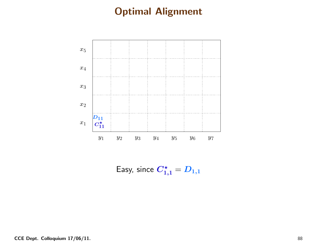

Easy, since  $C_{1,1}^{\star} = D_{1,1}$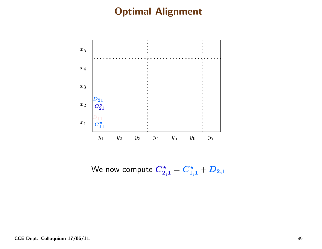

We now compute  $C_{2,1}^{\star}=C_{1,1}^{\star}+D_{2,1}$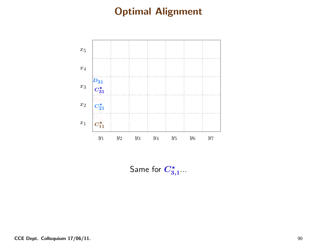

Same for  $C_{3,1}^{\star}...$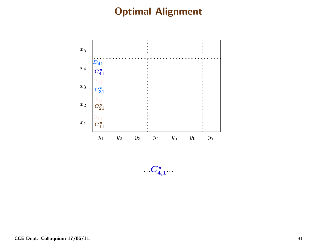

 $C_{4,1}^{\star}$  .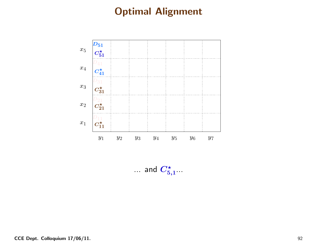

 $\ldots$  and  $C_{5,1}^\star \ldots$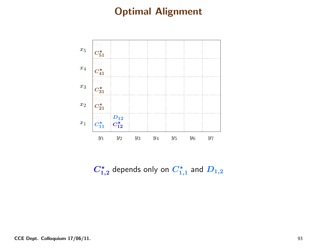

 $C_{1,2}^{\star}$  depends only on  $C_{1,1}^{\star}$  and  $D_{1,2}$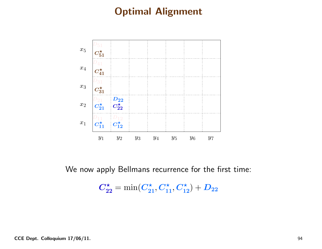

We now apply Bellmans recurrence for the first time:

 $C_{22}^{\star} = \min(C_{21}^{\star}, C_{11}^{\star}, C_{12}^{\star}) + D_{22}$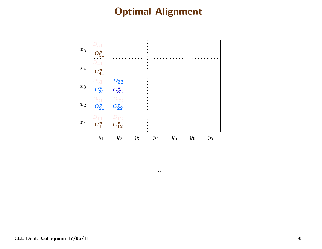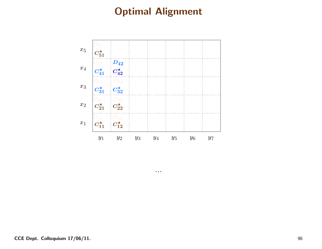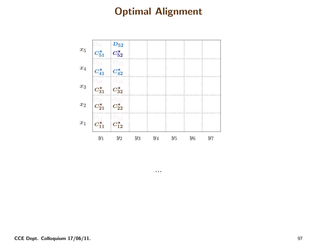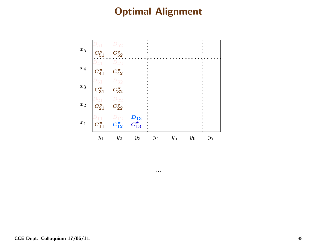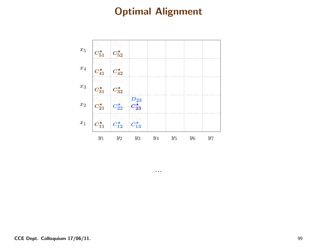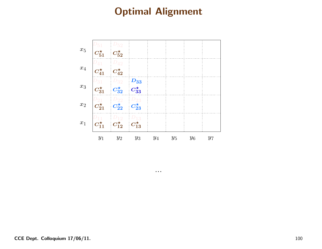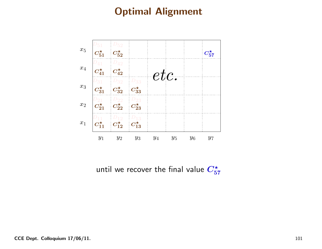

until we recover the final value  $C_{57}^{\star}$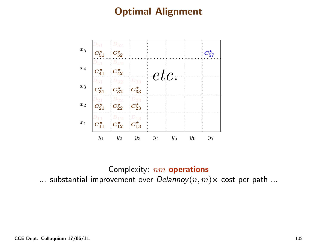

Complexity: nm **operations**<br>wement over Delanney(n m  $\ldots$  substantial improvement over  $Delannoy(n,m)\times$  cost per path  $\ldots$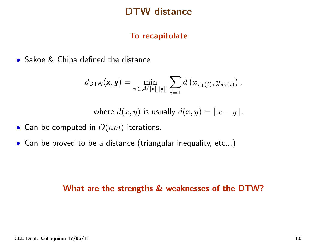#### DTW distance

#### To recapitulate

• Sakoe & Chiba defined the distance

$$
d_{\text{DTW}}(\mathbf{x}, \mathbf{y}) = \min_{\pi \in \mathcal{A}(|\mathbf{x}|, |\mathbf{y}|)} \sum_{i=1} d\left(x_{\pi_1(i)}, y_{\pi_2(i)}\right),
$$

where 
$$
d(x, y)
$$
 is usually  $d(x, y) = ||x - y||$ .

- $\bullet\,$  Can be computed in  $O(nm)$  iterations.
- $\bullet$  Can be proved to be a distance (triangular inequality, etc...)

#### What are the strengths & weaknesses of the DTW?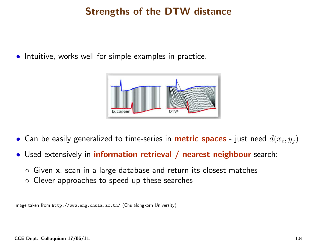# Strengths of the DTW distance

• Intuitive, works well for simple examples in practice.



- $\bullet$  Can be easily generalized to time-series in **metric spaces** just need  $d(x_i,y_j)$
- $\bullet$ **•** Used extensively in *information retrieval / nearest neighbour* search:
	- $\circ$  Given **x**, scan in a large database and return its closest matches
	- $\circ$  Clever approaches to speed up these searches  $\circ$

Image taken from http://www.eng.chula.ac.th/ (Chulalongkorn University)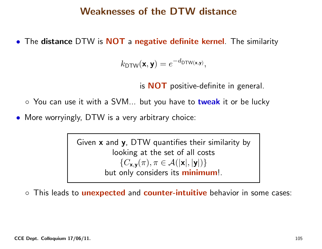#### Weaknesses of the DTW distance

• The distance DTW is NOT a negative definite kernel. The similarity

$$
k_{\mathsf{DTW}}(\mathbf{x},\mathbf{y})=e^{-d_{\mathsf{DTW}(\mathbf{x},\mathbf{y})}},
$$

is  $\mathbf{NOT}$  positive-definite in general.

- You can use it with a SVM… but you have to <mark>tweak</mark> it or be lucky
- More worryingly, DTW is <sup>a</sup> very arbitrary choice:

Given  ${\mathsf x}$  and  ${\mathsf y}$ , DTW quantifies their similarity by looking at the set of all costs  $\{C_{\mathbf{x},\mathbf{y}}(\pi), \pi \in \mathcal{A}(|\mathbf{x}|,|\mathbf{y}|)\}$ oply concidors but only considers its <mark>minimum</mark>!.

 $\circ$  $\circ$  This leads to  ${\sf unexpected}$  and  ${\sf counter-intuitive}$  behavior in some cases: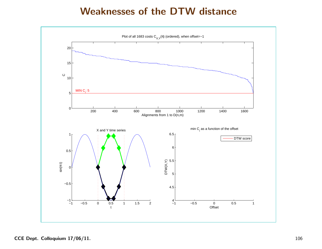#### Weaknesses of the DTW distance

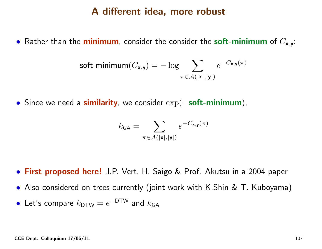#### <sup>A</sup> different idea, more robust

 $\bullet$  Rather than the minimum, consider the consider the  $\mathsf{soft}\text{-}\mathsf{minimum}$  of  $C_{\mathsf{x},\mathsf{y}}$ :

$$
\text{soft-minimum}(C_{\mathbf{x},\mathbf{y}}) = -\log \sum_{\pi \in \mathcal{A}(|\mathbf{x}|,|\mathbf{y}|)} e^{-C_{\mathbf{x},\mathbf{y}}(\pi)}
$$

• Since we need a similarity, we consider  $\exp(-\textbf{soft-minimum})$ ,

$$
k_{\mathsf{GA}} = \sum_{\pi \in \mathcal{A}(|\mathbf{x}|, |\mathbf{y}|)} e^{-C_{\mathbf{x}, \mathbf{y}}(\pi)}
$$

- **First proposed here!** J.P. Vert, H. Saigo & Prof. Akutsu in a 2004 paper
- Also considered on trees currently (joint work with K.Shin & T. Kuboyama)
- Let's compare  $k_{\mathsf{DTW}}=e^{-\mathsf{DTW}}$  and  $k_{\mathsf{GA}}$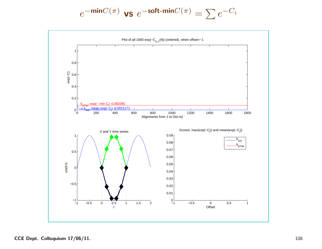$$
e^{-\min C(\pi)} \text{ vs } e^{-\textbf{soft-min}C(\pi)} = \sum e^{-C_i}
$$



CCE Dept. Colloquium 17/06/11. 108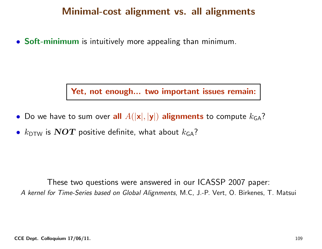### Minimal-cost alignment vs. all alignments

• Soft-minimum is intuitively more appealing than minimum.

Yet, not enough... two important issues remain:

- $\bullet\,$  Do we have to sum over  $\mathop{\rm all}\nolimits\, A(|{\mathbf x}|,|{\mathbf y}|)$  alignments to compute  $k_{\mathsf{GA}}?$
- • $k_{\mathsf{DTW}}$  is  $\boldsymbol{NOT}$  positive definite, what about  $k_{\mathsf{GA}}$ ?

These two questions were answered in our ICASSP <sup>2007</sup> paper: <sup>A</sup> kernel for Time-Series based on Global Alignments, M.C, J.-P. Vert, O. Birkenes, T. Matsui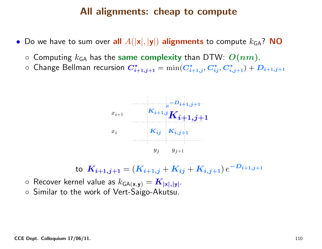#### All alignments: cheap to compute

- $\bullet$  Do we have to sum over all  $A(|\mathsf{x}|,|\mathsf{y}|)$  alignments to compute  $k_{\mathsf{GA}}?$  NO
	- $\circ$  Computing  $k_{\mathsf{GA}}$  has the same complexity than DTW:  $\bm{O}(nm)$ .
	- $\circ$  Change Bellman recursion  $\bm{C}^\star_{i+1, j+1} = \min(\bm{C}^\star_{i+1, j}, \bm{C}^\star_{i j}, \bm{C}^\star_{i, j+1})$  $\vec{i}_{i+1,j+1} = \min(C^{\star}_{i})$  $_{i+1,j}^\star, C_{i,j}^\star$  $_{ij}^\star, C_{i,}^\star$  $\hat{i,j+1})+\boldsymbol{D_{i+1,j+1}}$



to 
$$
K_{i+1,j+1} = (K_{i+1,j} + K_{ij} + K_{i,j+1})e^{-D_{i+1,j+1}}
$$

 $\circ~$  Recover kernel value as  $k_{\mathsf{GA}(\mathbf{x}, \mathbf{y})} = \boldsymbol{K}_{|\mathbf{x}|,|\mathbf{y}|}.$ 

◦ Similar to the work of Vert-Saigo-Akutsu.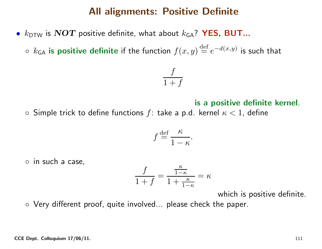#### All alignments: Positive Definite

• $k_{\mathsf{DTW}}$  is  $\boldsymbol{NOT}$  positive definite, what about  $k_{\mathsf{GA}} ?$   $\boldsymbol{\mathsf{YES}},$   $\boldsymbol{\mathsf{BUT}}...$ 

 $\circ \; k_{\mathsf{GA}}$  is positive definite if the function  $f(x,y) \,{\stackrel{\mathrm{def}}{=}\,} e^{-d(x,y)}$  is such that

$$
\frac{f}{1+f}
$$

#### is <sup>a</sup> positive definite kernel.

 $\circ$  Simple trick to define functions  $f$ : take a p.d. kernel  $\kappa < 1$ , define

$$
f \stackrel{\text{def}}{=} \frac{\kappa}{1-\kappa}.
$$

◦ in such <sup>a</sup> case,

$$
\frac{f}{1+f} = \frac{\frac{\kappa}{1-\kappa}}{1+\frac{\kappa}{1-\kappa}} = \kappa
$$

which is positive definite.

◦ Very different proof, quite involved... please check the paper.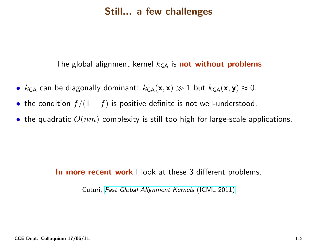### Still... <sup>a</sup> few challenges

The global alignment kernel  $k_\mathsf{GA}$  is  $\mathsf{\mathbf{not}}$  without  $\mathsf{\mathbf{problems}}$ 

- $k_{\mathsf{GA}}$  can be diagonally dominant:  $k_{\mathsf{GA}}(\mathbf{x},\mathbf{x}) \gg 1$  but  $k_{\mathsf{GA}}(\mathbf{x},\mathbf{y}) \approx 0$ .
- the condition  $f/(1 + f)$  is positive definite is not well-understood.
- $\bullet\,$  the quadratic  $O(nm)$  complexity is still too high for large-scale applications.

### **In more recent work I l**ook at these 3 different problems.

Cuturi, Fast Global [Alignment](http://www.icml-2011.org/papers/489_icmlpaper.pdf) Kernels (ICML 2011)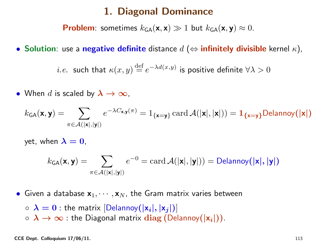#### 1. Diagonal Dominance

**Problem**: sometimes  $k_{\textsf{GA}}(\mathbf{x},\mathbf{x}) \gg 1$  but  $k_{\textsf{GA}}(\mathbf{x},\mathbf{y}) \approx 0$ .

• Solution: use a negative definite distance  $d$   $(\Leftrightarrow$  infinitely divisible kernel  $\kappa$ ),

 $i.e.$ such that  $\kappa(x,y) \,{\stackrel{\mathrm{def}}{=}\,} e^{-\lambda d(x,y)}$  is positive definite  $\forall \lambda > 0$ 

• When  $d$  is scaled by  $\boldsymbol{\lambda} \to \infty$ ,

$$
k_{\mathsf{GA}}(\mathbf{x},\mathbf{y}) = \sum_{\pi \in \mathcal{A}(|\mathbf{x}|,|\mathbf{y}|)} e^{-\lambda C_{\mathbf{x},\mathbf{y}}(\pi)} = \mathbf{1}_{\{\mathbf{x} = \mathbf{y}\}}\operatorname{card} \mathcal{A}(|\mathbf{x}|,|\mathbf{x}|)) = \mathbf{1}_{\{\mathbf{x} = \mathbf{y}\}}\text{Delannoy}(|\mathbf{x}|)
$$

yet, when  $\boldsymbol{\lambda = 0}$ ,

$$
k_{\mathsf{GA}}(\mathbf{x}, \mathbf{y}) = \sum_{\pi \in \mathcal{A}(|\mathbf{x}|, |\mathbf{y}|)} e^{-0} = \text{card}\,\mathcal{A}(|\mathbf{x}|, |\mathbf{y}|)) = \text{Delannoy}(|\mathbf{x}|, |\mathbf{y}|)
$$

 $\bullet$  Given a database  $\textbf{x}_1, \cdots, \textbf{x}_N$ , the Gram matrix varies between

 $\circ\;\boldsymbol{\lambda}=\boldsymbol{0}$  : the matrix  $[\mathsf{Delannoy}(|\mathsf{x}_i|,|\mathsf{x}_j|)]$  $\circ$   $\lambda \to \infty$  : the Diagonal matrix  $\mathrm{diag}\left(\mathsf{Delannoy}(|\mathsf{x}_i|)\right)$ .

CCE Dept. Colloquium  $17/06/11$ . 113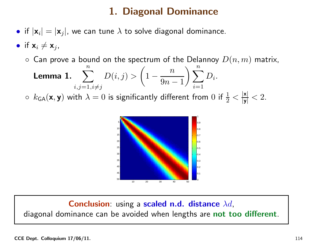### 1. Diagonal Dominance

- $\bullet$  if  $|\mathsf{x}_i|=|\mathsf{x}_j|$ , we can tune  $\lambda$  to solve diagonal dominance.
- if  $\mathsf{x}_i \neq \mathsf{x}_j$ ,
	- $\circ$  Can prove a bound on the spectrum of the Delannoy  $D(n,m)$  matrix,

**Lemma 1.** 
$$
\sum_{i,j=1, i\neq j}^{n} D(i,j) > \left(1 - \frac{n}{9n-1}\right) \sum_{i=1}^{n} D_i.
$$

 $\circ \; k_{\mathsf{GA}}(\mathbf{x},\mathbf{y})$  with  $\lambda=0$  is significantly different from  $0$  if  $\frac{1}{2}<\frac{|\mathbf{x}|}{|\mathbf{y}|}< 2.$ 



**Conclusion**: using a scaled n.d. distance  $\lambda d$ , diagonal dominance can be avoided when lengths are not too different.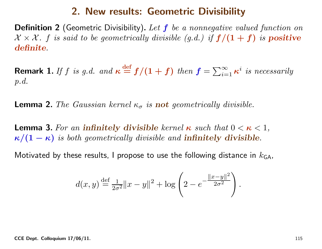#### 2. New results: Geometric Divisibility

**Definition 2** (Geometric Divisibility). Let  $f$  be a nonnegative valued function on  $\mathcal{X} \times \mathcal{X}$ . f is said to be geometrically divisible  $(g.d.)$  if  $f/(1 + f)$  is positive definite.

 ${\bf Remark\ 1.}$  If  $f$  is g.d. and  $\boldsymbol{\kappa}$ def $\stackrel{\text{def}}{=} f/(1+f)$  then  $f = \sum_{i=1}^{\infty}$  $\sum\limits_{i=1}^{\infty}\kappa^{i}$  is necessarily p.d.

**Lemma 2.** The Gaussian kernel  $\kappa_{\sigma}$  $\sigma$  is **not** geometrically divisible.

**Lemma 3.** For an **infinitely divisible** kernel  $\kappa$  such that  $0 < \kappa < 1,$  $\kappa/(1-\kappa)$  is both geometrically divisible and  $\textbf{infinitely~divisible}$  $\kappa)$  is both geometrically divisible and  ${\bf infinitely}$  divisible.

Motivated by these results, I propose to use the following distance in  $k_{\mathsf{GA}},$ 

$$
d(x,y) \stackrel{\text{def}}{=} \frac{1}{2\sigma^2} \|x - y\|^2 + \log \left(2 - e^{-\frac{\|x - y\|^2}{2\sigma^2}}\right)
$$

.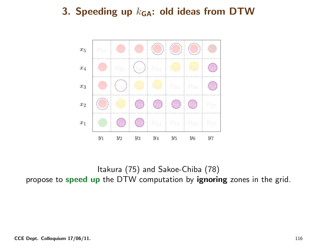

Itakura (75) and Sakoe-Chiba (78) propose to  ${\sf speed\; up}$  the DTW computation by  ${\sf ignoring\; zones}$  in the grid.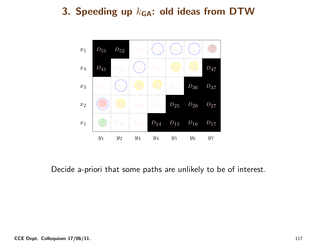

Decide a-priori that some paths are unlikely to be of interest.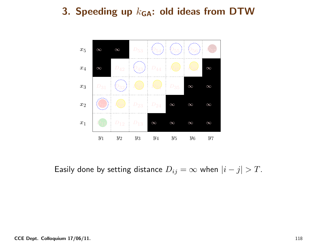

Easily done by setting distance  $D_{ij}=\infty$  when  $|i-j|>T$ .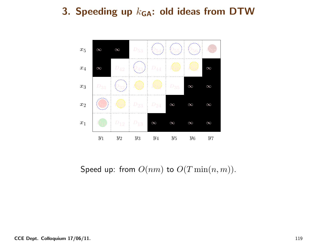

Speed up: from  $O(nm)$  to  $O(T \min(n, m))$ .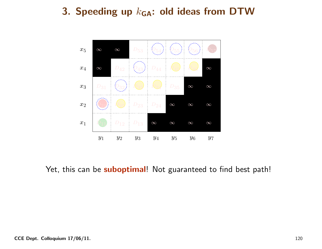

Yet, this can be **suboptimal**! Not guaranteed to find best path!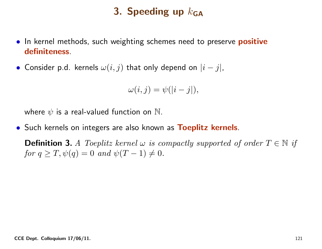# 3. Speeding up  $k_{\mathsf{GA}}$

- $\bullet\,$  In kernel methods, such weighting schemes need to preserve  $\,$  positive  $\,$ definiteness.
- Consider p.d. kernels  $\omega(i,j)$  that only depend on  $|i-j|$ ,

$$
\omega(i,j) = \psi(|i - j|),
$$

where  $\psi$  is a real-valued function on  $\mathbb N.$ 

• Such kernels on integers are also known as Toeplitz kernels.

**Definition 3.** A Toeplitz kernel  $\omega$  is compactly supported of order  $T \in \mathbb{N}$  if for  $q \ge T$ ,  $\psi(q) = 0$  and  $\psi(T - 1) \ne 0$ .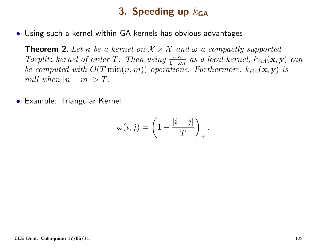# 3. Speeding up  $k_{\mathsf{GA}}$

• Using such <sup>a</sup> kernel within GA kernels has obvious advantages

**Theorem 2.** Let  $\kappa$  be a kernel on  $\mathcal{X} \times \mathcal{X}$  and  $\omega$  a compactly supported  $\kappa$ Toeplitz kernel of order T. Then using  $\frac{\omega \kappa}{1-\omega \kappa}$  as a local kernel,  $k_{GA}(\mathbf{x}, \mathbf{y})$  can<br>be accounted with  $O(T_{\text{min}}(\mathbf{x}, \mathbf{w}))$  executions. Furthermore,  $l_{\text{max}}$  (= =) is be computed with  $O(T \min(n, m))$  operations. Furthermore,  $k_{GA}(\mathbf{x}, \mathbf{y})$  is  $null \text{ when } |n-m| > T.$ 

• Example: Triangular Kernel

$$
\omega(i,j) = \left(1 - \frac{|i - j|}{T}\right)_+.
$$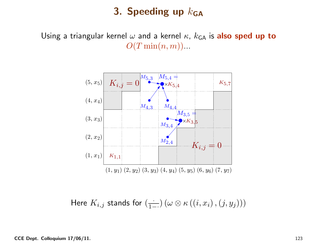### 3. Speeding up  $k_{\mathsf{GA}}$

Using a triangular kernel  $\omega$  and a kernel  $\kappa$ ,  $k_{\mathsf{GA}}$  is  $\mathsf{also}\ \mathsf{sped}\ \mathsf{up}\ \mathsf{to}$  $O(T\min(n,m))$ ...



Here  $K_{i,j}$  stands for  $(\frac{\cdot}{1-\cdot})$   $(\omega \otimes \kappa \left( \left( i, x_{i}\right),\left( j, y_{j}\right)\right) )$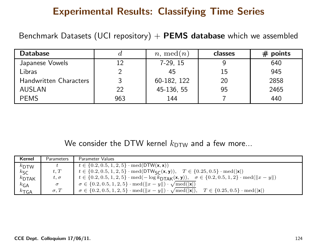### Experimental Results: Classifying Time Series

Benchmark Datasets (UCI repository)  $+$   ${\sf PEMS}$  database which we assembled

| <b>Database</b>               |     | $n. \mod(n)$ | classes | $#$ points |
|-------------------------------|-----|--------------|---------|------------|
| Japanese Vowels               | 12  | $7-29, 15$   |         | 640        |
| Libras                        |     | 45           | 15      | 945        |
| <b>Handwritten Characters</b> |     | 60-182, 122  | 20      | 2858       |
| <b>AUSLAN</b>                 | 22  | 45-136, 55   | 95      | 2465       |
| <b>PEMS</b>                   | 963 | 144          |         | 440        |

We consider the DTW kernel  $k_{\mathsf{DTW}}$  and a few more...

| Kernel             | <b>Parameters</b> | Parameter Values                                                                                                                                                         |
|--------------------|-------------------|--------------------------------------------------------------------------------------------------------------------------------------------------------------------------|
| $k_{\text{DTW}}$   |                   | $t \in \{0.2, 0.5, 1, 2, 5\} \cdot \text{med}(\text{DTW}(\mathbf{x}, \mathbf{x}))$                                                                                       |
| $k_{\mathsf{SC}}$  | t,T               | $t \in \{0.2, 0.5, 1, 2, 5\} \cdot \text{med}(\text{DTW}_{\text{SC}}(\mathbf{x}, \mathbf{y})), \quad T \in \{0.25, 0.5\} \cdot \text{med}( \mathbf{x} )$                 |
| $k$ DTAK           | $t,\sigma$        | $t \in \{0.2, 0.5, 1, 2, 5\} \cdot \text{med}(-\log k_{\text{DTAK}}(\mathbf{x}, \mathbf{y})), \quad \sigma \in \{0.2, 0.5, 1, 2\} \cdot \text{med}(\ x - y\ )$           |
| $k_{\mathsf{GA}}$  | $\sigma$          | $\sigma \in \{0.2, 0.5, 1, 2, 5\} \cdot \text{med}(\Vert x - y \Vert) \cdot \sqrt{\text{med}(\Vert x \Vert)}$                                                            |
| $k_{\mathsf{TGA}}$ | $\sigma, T$       | $\sigma \in \{0.2, 0.5, 1, 2, 5\} \cdot \text{med}(\Vert x - y \Vert) \cdot \sqrt{\text{med}(\Vert x \Vert)}, \quad T \in \{0.25, 0.5\} \cdot \text{med}(\Vert x \Vert)$ |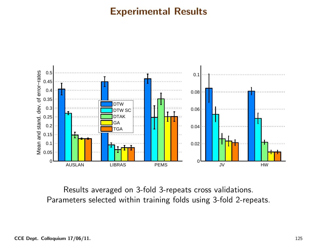#### Experimental Results



Results averaged on 3-fold 3-repeats cross validations. Parameters selected within training folds using 3-fold 2-repeats.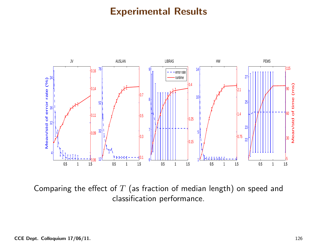### Experimental Results



Comparing the effect of  $T$  (as fraction of median length) on speed and classification performance.